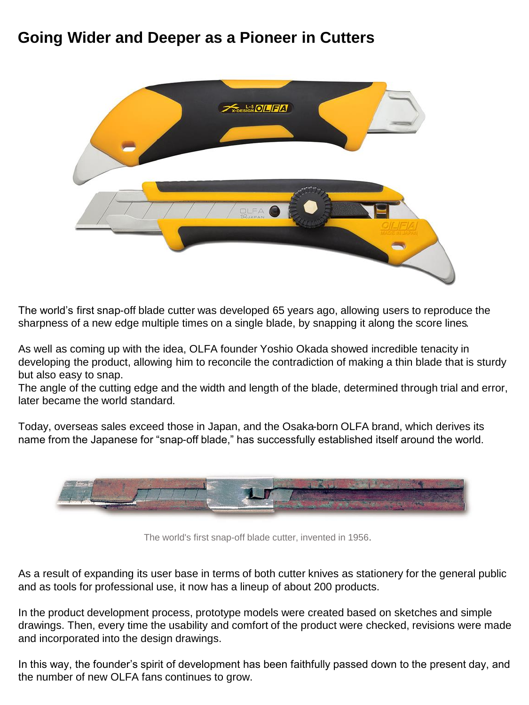## **Going Wider and Deeper as a Pioneer in Cutters**



The world's first snap-off blade cutter was developed 65 years ago, allowing users to reproduce the sharpness of a new edge multiple times on a single blade, by snapping it along the score lines.

As well as coming up with the idea, OLFA founder Yoshio Okada showed incredible tenacity in developing the product, allowing him to reconcile the contradiction of making a thin blade that is sturdy but also easy to snap.

The angle of the cutting edge and the width and length of the blade, determined through trial and error, later became the world standard.

Today, overseas sales exceed those in Japan, and the Osaka-born OLFA brand, which derives its name from the Japanese for "snap-off blade," has successfully established itself around the world.



The world's first snap-off blade cutter, invented in 1956.

As a result of expanding its user base in terms of both cutter knives as stationery for the general public and as tools for professional use, it now has a lineup of about 200 products.

In the product development process, prototype models were created based on sketches and simple drawings. Then, every time the usability and comfort of the product were checked, revisions were made and incorporated into the design drawings.

In this way, the founder's spirit of development has been faithfully passed down to the present day, and the number of new OLFA fans continues to grow.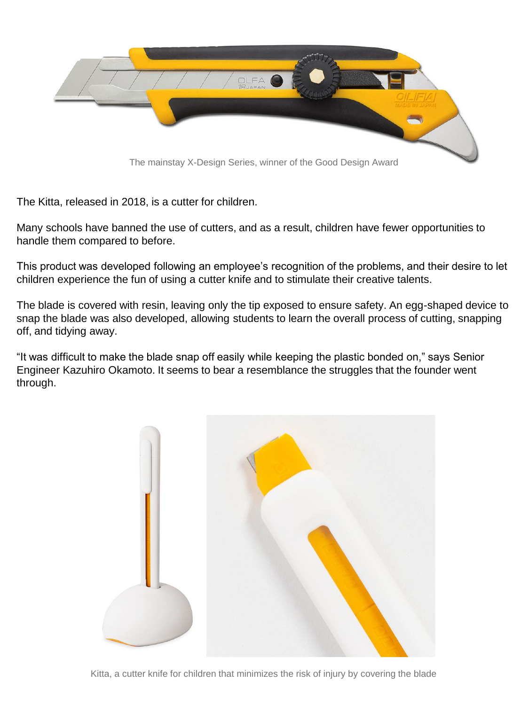

The Kitta, released in 2018, is a cutter for children.

Many schools have banned the use of cutters, and as a result, children have fewer opportunities to handle them compared to before.

This product was developed following an employee's recognition of the problems, and their desire to let children experience the fun of using a cutter knife and to stimulate their creative talents.

The blade is covered with resin, leaving only the tip exposed to ensure safety. An egg-shaped device to snap the blade was also developed, allowing students to learn the overall process of cutting, snapping off, and tidying away.

"It was difficult to make the blade snap off easily while keeping the plastic bonded on," says Senior Engineer Kazuhiro Okamoto. It seems to bear a resemblance the struggles that the founder went through.



Kitta, a cutter knife for children that minimizes the risk of injury by covering the blade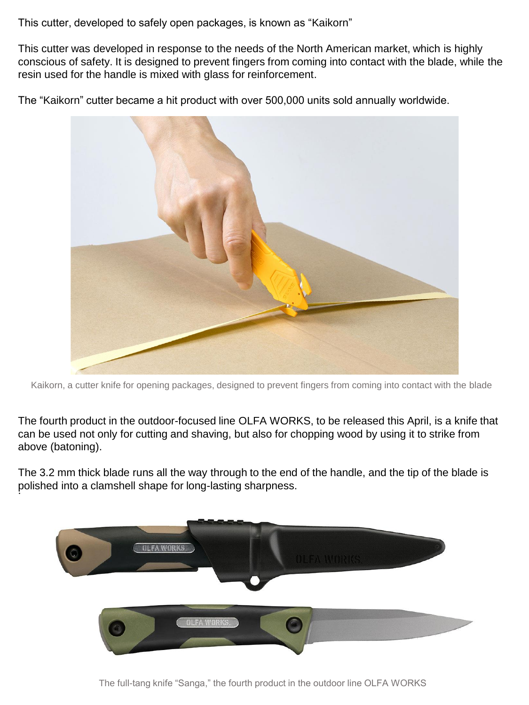This cutter, developed to safely open packages, is known as "Kaikorn"

This cutter was developed in response to the needs of the North American market, which is highly conscious of safety. It is designed to prevent fingers from coming into contact with the blade, while the resin used for the handle is mixed with glass for reinforcement.

The "Kaikorn" cutter became a hit product with over 500,000 units sold annually worldwide.



Kaikorn, a cutter knife for opening packages, designed to prevent fingers from coming into contact with the blade

The fourth product in the outdoor-focused line OLFA WORKS, to be released this April, is a knife that can be used not only for cutting and shaving, but also for chopping wood by using it to strike from above (batoning).

. polished into a clamshell shape for long-lasting sharpness. The 3.2 mm thick blade runs all the way through to the end of the handle, and the tip of the blade is



The full-tang knife "Sanga," the fourth product in the outdoor line OLFA WORKS